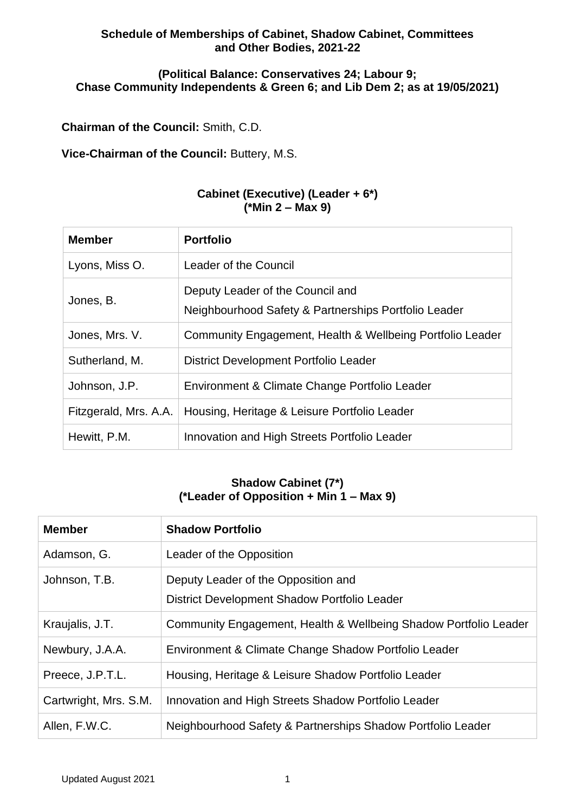### **Schedule of Memberships of Cabinet, Shadow Cabinet, Committees and Other Bodies, 2021-22**

### **(Political Balance: Conservatives 24; Labour 9; Chase Community Independents & Green 6; and Lib Dem 2; as at 19/05/2021)**

**Chairman of the Council:** Smith, C.D.

**Vice-Chairman of the Council:** Buttery, M.S.

### **Cabinet (Executive) (Leader + 6\*) (\*Min 2 – Max 9)**

| <b>Member</b>         | <b>Portfolio</b>                                                                         |
|-----------------------|------------------------------------------------------------------------------------------|
| Lyons, Miss O.        | Leader of the Council                                                                    |
| Jones, B.             | Deputy Leader of the Council and<br>Neighbourhood Safety & Partnerships Portfolio Leader |
| Jones, Mrs. V.        | Community Engagement, Health & Wellbeing Portfolio Leader                                |
| Sutherland, M.        | District Development Portfolio Leader                                                    |
| Johnson, J.P.         | Environment & Climate Change Portfolio Leader                                            |
| Fitzgerald, Mrs. A.A. | Housing, Heritage & Leisure Portfolio Leader                                             |
| Hewitt, P.M.          | Innovation and High Streets Portfolio Leader                                             |

# **Shadow Cabinet (7\*) (\*Leader of Opposition + Min 1 – Max 9)**

| <b>Member</b>         | <b>Shadow Portfolio</b>                                                             |
|-----------------------|-------------------------------------------------------------------------------------|
| Adamson, G.           | Leader of the Opposition                                                            |
| Johnson, T.B.         | Deputy Leader of the Opposition and<br>District Development Shadow Portfolio Leader |
| Kraujalis, J.T.       | Community Engagement, Health & Wellbeing Shadow Portfolio Leader                    |
| Newbury, J.A.A.       | Environment & Climate Change Shadow Portfolio Leader                                |
| Preece, J.P.T.L.      | Housing, Heritage & Leisure Shadow Portfolio Leader                                 |
| Cartwright, Mrs. S.M. | Innovation and High Streets Shadow Portfolio Leader                                 |
| Allen, F.W.C.         | Neighbourhood Safety & Partnerships Shadow Portfolio Leader                         |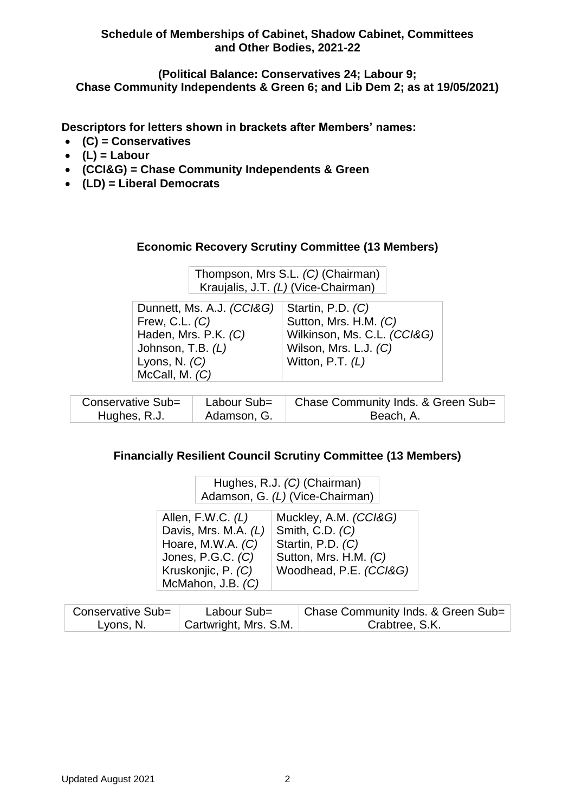**Schedule of Memberships of Cabinet, Shadow Cabinet, Committees and Other Bodies, 2021-22**

**(Political Balance: Conservatives 24; Labour 9; Chase Community Independents & Green 6; and Lib Dem 2; as at 19/05/2021)**

**Descriptors for letters shown in brackets after Members' names:**

- **(C) = Conservatives**
- $\bullet$  (L) = Labour
- **(CCI&G) = Chase Community Independents & Green**
- **(LD) = Liberal Democrats**

### **Economic Recovery Scrutiny Committee (13 Members)**

| Thompson, Mrs S.L. (C) (Chairman)   |
|-------------------------------------|
| Kraujalis, J.T. (L) (Vice-Chairman) |

| Dunnett, Ms. A.J. (CCI&G) | Startin, P.D. (C)           |  |
|---------------------------|-----------------------------|--|
| Frew, C.L. $(C)$          | Sutton, Mrs. H.M. (C)       |  |
| Haden, Mrs. P.K. (C)      | Wilkinson, Ms. C.L. (CCI&G) |  |
| Johnson, T.B. (L)         | Wilson, Mrs. L.J. (C)       |  |
| Lyons, N. $(C)$           | Witton, P.T. $(L)$          |  |
| McCall, M. $(C)$          |                             |  |
|                           |                             |  |

| Conservative Sub= | Labour Sub= | Chase Community Inds. & Green Sub= |
|-------------------|-------------|------------------------------------|
| Hughes, R.J.      | Adamson, G. | Beach, A.                          |

## **Financially Resilient Council Scrutiny Committee (13 Members)**

| Hughes, R.J. (C) (Chairman)<br>Adamson, G. (L) (Vice-Chairman)                                                                     |                                                                                                                  |  |
|------------------------------------------------------------------------------------------------------------------------------------|------------------------------------------------------------------------------------------------------------------|--|
| Allen, F.W.C. $(L)$<br>Davis, Mrs. M.A. (L)<br>Hoare, M.W.A. $(C)$<br>Jones, P.G.C. (C)<br>Kruskonjic, P. (C)<br>McMahon, J.B. (C) | Muckley, A.M. (CCI&G)<br>Smith, C.D. (C)<br>Startin, P.D. (C)<br>Sutton, Mrs. H.M. (C)<br>Woodhead, P.E. (CCI&G) |  |

| Conservative Sub= | Labour Sub=                        | Chase Community Inds. & Green Sub= |
|-------------------|------------------------------------|------------------------------------|
| Lyons, N.         | <sup>1</sup> Cartwright, Mrs. S.M. | Crabtree, S.K.                     |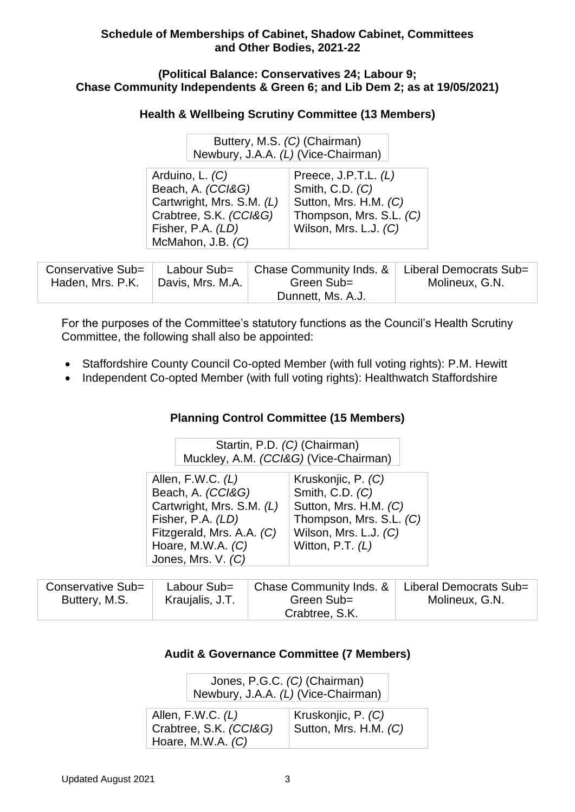### **(Political Balance: Conservatives 24; Labour 9; Chase Community Independents & Green 6; and Lib Dem 2; as at 19/05/2021)**

# **Health & Wellbeing Scrutiny Committee (13 Members)**

| Buttery, M.S. (C) (Chairman)        |
|-------------------------------------|
| Newbury, J.A.A. (L) (Vice-Chairman) |

| Arduino, L. (C)           | Preece, J.P.T.L. $(L)$  |
|---------------------------|-------------------------|
| Beach, A. (CCI&G)         | Smith, C.D. (C)         |
| Cartwright, Mrs. S.M. (L) | Sutton, Mrs. H.M. (C)   |
| Crabtree, S.K. (CCI&G)    | Thompson, Mrs. S.L. (C) |
| Fisher, P.A. (LD)         | Wilson, Mrs. L.J. (C)   |
| McMahon, J.B. (C)         |                         |
|                           |                         |

| Conservative Sub=<br>Haden, Mrs. P.K. | Labour Sub=<br>Davis, Mrs. M.A. | Chase Community Inds. &<br>Green Sub= | Liberal Democrats Sub= |
|---------------------------------------|---------------------------------|---------------------------------------|------------------------|
|                                       |                                 |                                       | Molineux, G.N.         |
|                                       |                                 | Dunnett, Ms. A.J.                     |                        |

For the purposes of the Committee's statutory functions as the Council's Health Scrutiny Committee, the following shall also be appointed:

- Staffordshire County Council Co-opted Member (with full voting rights): P.M. Hewitt
- Independent Co-opted Member (with full voting rights): Healthwatch Staffordshire

# **Planning Control Committee (15 Members)**

| Startin, P.D. (C) (Chairman)          |
|---------------------------------------|
| Muckley, A.M. (CCI&G) (Vice-Chairman) |

| Allen, F.W.C. $(L)$       | Kruskonjic, P. (C)      |
|---------------------------|-------------------------|
| Beach, A. (CCI&G)         | Smith, C.D. (C)         |
| Cartwright, Mrs. S.M. (L) | Sutton, Mrs. H.M. (C)   |
| Fisher, P.A. (LD)         | Thompson, Mrs. S.L. (C) |
| Fitzgerald, Mrs. A.A. (C) | Wilson, Mrs. L.J. (C)   |
| Hoare, M.W.A. $(C)$       | Witton, P.T. $(L)$      |
| Jones, Mrs. V. (C)        |                         |

| Conservative Sub= | Labour Sub=     | Chase Community Inds. & | Liberal Democrats Sub= |
|-------------------|-----------------|-------------------------|------------------------|
| Buttery, M.S.     | Kraujalis, J.T. | Green Sub=              | Molineux, G.N.         |
|                   |                 | Crabtree, S.K.          |                        |

# **Audit & Governance Committee (7 Members)**

| Jones, P.G.C. (C) (Chairman)        |  |  |
|-------------------------------------|--|--|
| Newbury, J.A.A. (L) (Vice-Chairman) |  |  |

| Allen, F.W.C. $(L)$<br>Crabtree, S.K. (CCI&G)<br>Hoare, M.W.A. $(C)$ | Kruskonjic, P. (C)<br>Sutton, Mrs. H.M. <i>(C)</i> |
|----------------------------------------------------------------------|----------------------------------------------------|
|----------------------------------------------------------------------|----------------------------------------------------|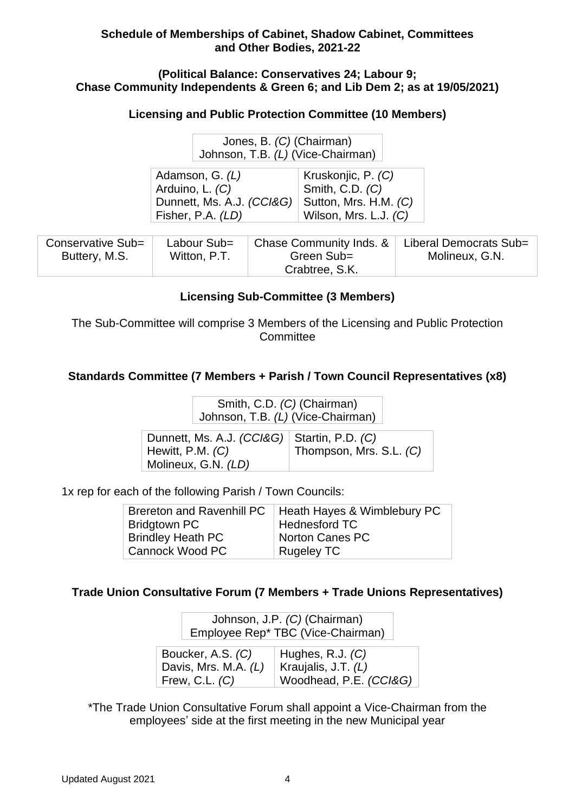### **(Political Balance: Conservatives 24; Labour 9; Chase Community Independents & Green 6; and Lib Dem 2; as at 19/05/2021)**

## **Licensing and Public Protection Committee (10 Members)**

| Jones, B. (C) (Chairman)          |
|-----------------------------------|
| Johnson, T.B. (L) (Vice-Chairman) |

| Adamson, G. $(L)$                                 | Kruskonjic, P. (C)    |
|---------------------------------------------------|-----------------------|
| Arduino, L. (C)                                   | Smith, C.D. (C)       |
| Dunnett, Ms. A.J. (CCI&G)   Sutton, Mrs. H.M. (C) |                       |
| Fisher, P.A. (LD)                                 | Wilson, Mrs. L.J. (C) |

| Conservative Sub= | Labour Sub=  | Chase Community Inds. & | Liberal Democrats Sub= |
|-------------------|--------------|-------------------------|------------------------|
| Buttery, M.S.     | Witton, P.T. | Green Sub=              | Molineux, G.N.         |
|                   |              | Crabtree, S.K.          |                        |

# **Licensing Sub-Committee (3 Members)**

The Sub-Committee will comprise 3 Members of the Licensing and Public Protection **Committee** 

# **Standards Committee (7 Members + Parish / Town Council Representatives (x8)**

Smith, C.D. *(C)* (Chairman) Johnson, T.B. *(L)* (Vice-Chairman)

| Dunnett, Ms. A.J. (CCI&G)   Startin, P.D. (C)<br>Hewitt, P.M. $(C)$ | Thompson, Mrs. S.L. (C) |
|---------------------------------------------------------------------|-------------------------|
| Molineux, G.N. (LD)                                                 |                         |

1x rep for each of the following Parish / Town Councils:

| Brereton and Ravenhill PC   Heath Hayes & Wimblebury PC |
|---------------------------------------------------------|
| <b>Hednesford TC</b>                                    |
| Norton Canes PC                                         |
| <b>Rugeley TC</b>                                       |
|                                                         |

## **Trade Union Consultative Forum (7 Members + Trade Unions Representatives)**

Johnson, J.P. *(C)* (Chairman) Employee Rep\* TBC (Vice-Chairman)

| Boucker, A.S. (C)    | $\vert$ Hughes, R.J. $(C)$ |
|----------------------|----------------------------|
| Davis, Mrs. M.A. (L) | Kraujalis, J.T. $(L)$      |
| Frew, C.L. $(C)$     | Woodhead, P.E. (CCI&G)     |

\*The Trade Union Consultative Forum shall appoint a Vice-Chairman from the employees' side at the first meeting in the new Municipal year